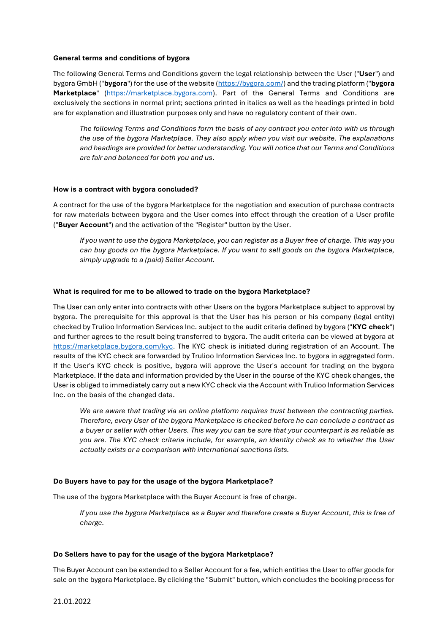#### **General terms and conditions of bygora**

The following General Terms and Conditions govern the legal relationship between the User ("**User**") and bygora GmbH ("**bygora**") for the use of the website [\(https://bygora.com/\)](https://bygora.com/) and the trading platform ("**bygora Marketplace**" [\(https://marketplace.bygora.com\)](https://marketplace.bygora.com/). Part of the General Terms and Conditions are exclusively the sections in normal print; sections printed in italics as well as the headings printed in bold are for explanation and illustration purposes only and have no regulatory content of their own.

*The following Terms and Conditions form the basis of any contract you enter into with us through the use of the bygora Marketplace. They also apply when you visit our website. The explanations and headings are provided for better understanding. You will notice that our Terms and Conditions are fair and balanced for both you and us*.

# **How is a contract with bygora concluded?**

A contract for the use of the bygora Marketplace for the negotiation and execution of purchase contracts for raw materials between bygora and the User comes into effect through the creation of a User profile ("**Buyer Account**") and the activation of the "Register" button by the User.

*If you want to use the bygora Marketplace, you can register as a Buyer free of charge. This way you can buy goods on the bygora Marketplace. If you want to sell goods on the bygora Marketplace, simply upgrade to a (paid) Seller Account.*

#### **What is required for me to be allowed to trade on the bygora Marketplace?**

The User can only enter into contracts with other Users on the bygora Marketplace subject to approval by bygora. The prerequisite for this approval is that the User has his person or his company (legal entity) checked by Trulioo Information Services Inc. subject to the audit criteria defined by bygora ("**KYC check**") and further agrees to the result being transferred to bygora. The audit criteria can be viewed at bygora at [https://marketplace.bygora.com/kyc.](https://marketplace.bygora.com/kyc) The KYC check is initiated during registration of an Account. The results of the KYC check are forwarded by Trulioo Information Services Inc. to bygora in aggregated form. If the User's KYC check is positive, bygora will approve the User's account for trading on the bygora Marketplace. If the data and information provided by the User in the course of the KYC check changes, the User is obliged to immediately carry out a new KYC check via the Account with Trulioo Information Services Inc. on the basis of the changed data.

*We are aware that trading via an online platform requires trust between the contracting parties. Therefore, every User of the bygora Marketplace is checked before he can conclude a contract as a buyer or seller with other Users. This way you can be sure that your counterpart is as reliable as you are. The KYC check criteria include, for example, an identity check as to whether the User actually exists or a comparison with international sanctions lists.*

# **Do Buyers have to pay for the usage of the bygora Marketplace?**

The use of the bygora Marketplace with the Buyer Account is free of charge.

*If you use the bygora Marketplace as a Buyer and therefore create a Buyer Account, this is free of charge.*

#### **Do Sellers have to pay for the usage of the bygora Marketplace?**

The Buyer Account can be extended to a Seller Account for a fee, which entitles the User to offer goods for sale on the bygora Marketplace. By clicking the "Submit" button, which concludes the booking process for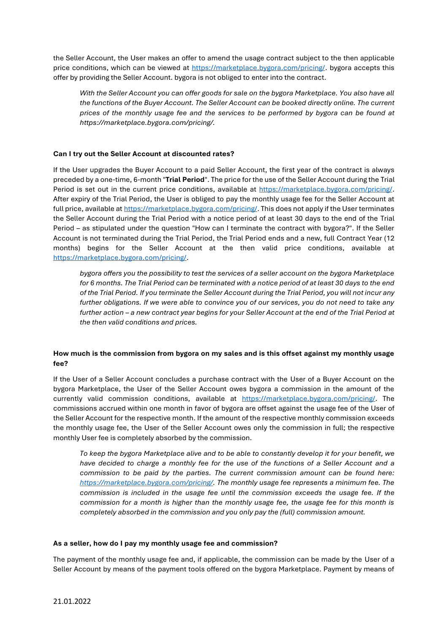the Seller Account, the User makes an offer to amend the usage contract subject to the then applicable price conditions, which can be viewed at [https://marketplace.bygora.com/pricing/.](https://marketplace.bygora.com/pricing/) bygora accepts this offer by providing the Seller Account. bygora is not obliged to enter into the contract.

*With the Seller Account you can offer goods for sale on the bygora Marketplace. You also have all the functions of the Buyer Account. The Seller Account can be booked directly online. The current prices of the monthly usage fee and the services to be performed by bygora can be found at https://marketplace.bygora.com/pricing/.*

# **Can I try out the Seller Account at discounted rates?**

If the User upgrades the Buyer Account to a paid Seller Account, the first year of the contract is always preceded by a one-time, 6-month "**Trial Period**". The price for the use of the Seller Account during the Trial Period is set out in the current price conditions, available at [https://marketplace.bygora.com/pricing/.](https://marketplace.bygora.com/pricing/) After expiry of the Trial Period, the User is obliged to pay the monthly usage fee for the Seller Account at full price, available at [https://marketplace.bygora.com/pricing/.](https://marketplace.bygora.com/pricing/) This does not apply if the User terminates the Seller Account during the Trial Period with a notice period of at least 30 days to the end of the Trial Period – as stipulated under the question "How can I terminate the contract with bygora?". If the Seller Account is not terminated during the Trial Period, the Trial Period ends and a new, full Contract Year (12 months) begins for the Seller Account at the then valid price conditions, available at [https://marketplace.bygora.com/pricing/.](https://marketplace.bygora.com/pricing/)

*bygora offers you the possibility to test the services of a seller account on the bygora Marketplace for 6 months. The Trial Period can be terminated with a notice period of at least 30 days to the end of the Trial Period. If you terminate the Seller Account during the Trial Period, you will not incur any further obligations. If we were able to convince you of our services, you do not need to take any further action – a new contract year begins for your Seller Account at the end of the Trial Period at the then valid conditions and prices.*

# **How much is the commission from bygora on my sales and is this offset against my monthly usage fee?**

If the User of a Seller Account concludes a purchase contract with the User of a Buyer Account on the bygora Marketplace, the User of the Seller Account owes bygora a commission in the amount of the currently valid commission conditions, available at [https://marketplace.bygora.com/pricing/.](https://marketplace.bygora.com/pricing/) The commissions accrued within one month in favor of bygora are offset against the usage fee of the User of the Seller Account for the respective month. If the amount of the respective monthly commission exceeds the monthly usage fee, the User of the Seller Account owes only the commission in full; the respective monthly User fee is completely absorbed by the commission.

*To keep the bygora Marketplace alive and to be able to constantly develop it for your benefit, we have decided to charge a monthly fee for the use of the functions of a Seller Account and a commission to be paid by the parties. The current commission amount can be found here: [https://marketplace.bygora.com/pricing/.](https://marketplace.bygora.com/pricing/) The monthly usage fee represents a minimum fee. The commission is included in the usage fee until the commission exceeds the usage fee. If the commission for a month is higher than the monthly usage fee, the usage fee for this month is completely absorbed in the commission and you only pay the (full) commission amount.*

# **As a seller, how do I pay my monthly usage fee and commission?**

The payment of the monthly usage fee and, if applicable, the commission can be made by the User of a Seller Account by means of the payment tools offered on the bygora Marketplace. Payment by means of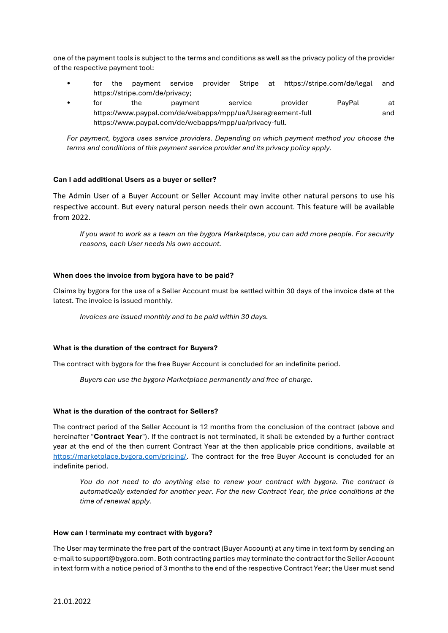one of the payment tools is subject to the terms and conditions as well as the privacy policy of the provider of the respective payment tool:

- for the payment service provider Stripe at https://stripe.com/de/legal and https://stripe.com/de/privacy;
- for the payment service provider PayPal at https://www.paypal.com/de/webapps/mpp/ua/Useragreement-full and https://www.paypal.com/de/webapps/mpp/ua/privacy-full.

*For payment, bygora uses service providers. Depending on which payment method you choose the terms and conditions of this payment service provider and its privacy policy apply.*

# **Can I add additional Users as a buyer or seller?**

The Admin User of a Buyer Account or Seller Account may invite other natural persons to use his respective account. But every natural person needs their own account. This feature will be available from 2022.

*If you want to work as a team on the bygora Marketplace, you can add more people. For security reasons, each User needs his own account.*

# **When does the invoice from bygora have to be paid?**

Claims by bygora for the use of a Seller Account must be settled within 30 days of the invoice date at the latest. The invoice is issued monthly.

*Invoices are issued monthly and to be paid within 30 days.*

# **What is the duration of the contract for Buyers?**

The contract with bygora for the free Buyer Account is concluded for an indefinite period.

*Buyers can use the bygora Marketplace permanently and free of charge.*

# **What is the duration of the contract for Sellers?**

The contract period of the Seller Account is 12 months from the conclusion of the contract (above and hereinafter "**Contract Year**"). If the contract is not terminated, it shall be extended by a further contract year at the end of the then current Contract Year at the then applicable price conditions, available at [https://marketplace.bygora.com/pricing/.](https://marketplace.bygora.com/pricing/) The contract for the free Buyer Account is concluded for an indefinite period.

*You do not need to do anything else to renew your contract with bygora. The contract is automatically extended for another year. For the new Contract Year, the price conditions at the time of renewal apply.*

# **How can I terminate my contract with bygora?**

The User may terminate the free part of the contract (Buyer Account) at any time in text form by sending an e-mail to support@bygora.com. Both contracting parties may terminate the contract for the Seller Account in text form with a notice period of 3 months to the end of the respective Contract Year; the User must send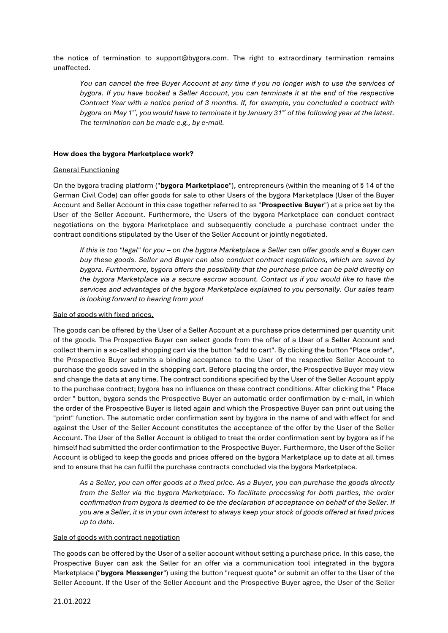the notice of termination to support@bygora.com. The right to extraordinary termination remains unaffected.

*You can cancel the free Buyer Account at any time if you no longer wish to use the services of bygora. If you have booked a Seller Account, you can terminate it at the end of the respective Contract Year with a notice period of 3 months. If, for example, you concluded a contract with bygora on May 1st, you would have to terminate it by January 31st of the following year at the latest. The termination can be made e.g., by e-mail.*

#### **How does the bygora Marketplace work?**

#### General Functioning

On the bygora trading platform ("**bygora Marketplace**"), entrepreneurs (within the meaning of § 14 of the German Civil Code) can offer goods for sale to other Users of the bygora Marketplace (User of the Buyer Account and Seller Account in this case together referred to as "**Prospective Buyer**") at a price set by the User of the Seller Account. Furthermore, the Users of the bygora Marketplace can conduct contract negotiations on the bygora Marketplace and subsequently conclude a purchase contract under the contract conditions stipulated by the User of the Seller Account or jointly negotiated.

*If this is too "legal" for you – on the bygora Marketplace a Seller can offer goods and a Buyer can buy these goods. Seller and Buyer can also conduct contract negotiations, which are saved by bygora. Furthermore, bygora offers the possibility that the purchase price can be paid directly on the bygora Marketplace via a secure escrow account. Contact us if you would like to have the services and advantages of the bygora Marketplace explained to you personally. Our sales team is looking forward to hearing from you!*

#### Sale of goods with fixed prices,

The goods can be offered by the User of a Seller Account at a purchase price determined per quantity unit of the goods. The Prospective Buyer can select goods from the offer of a User of a Seller Account and collect them in a so-called shopping cart via the button "add to cart". By clicking the button "Place order", the Prospective Buyer submits a binding acceptance to the User of the respective Seller Account to purchase the goods saved in the shopping cart. Before placing the order, the Prospective Buyer may view and change the data at any time. The contract conditions specified by the User of the Seller Account apply to the purchase contract; bygora has no influence on these contract conditions. After clicking the " Place order " button, bygora sends the Prospective Buyer an automatic order confirmation by e-mail, in which the order of the Prospective Buyer is listed again and which the Prospective Buyer can print out using the "print" function. The automatic order confirmation sent by bygora in the name of and with effect for and against the User of the Seller Account constitutes the acceptance of the offer by the User of the Seller Account. The User of the Seller Account is obliged to treat the order confirmation sent by bygora as if he himself had submitted the order confirmation to the Prospective Buyer. Furthermore, the User of the Seller Account is obliged to keep the goods and prices offered on the bygora Marketplace up to date at all times and to ensure that he can fulfil the purchase contracts concluded via the bygora Marketplace.

*As a Seller, you can offer goods at a fixed price. As a Buyer, you can purchase the goods directly from the Seller via the bygora Marketplace. To facilitate processing for both parties, the order confirmation from bygora is deemed to be the declaration of acceptance on behalf of the Seller. If you are a Seller, it is in your own interest to always keep your stock of goods offered at fixed prices up to date.*

#### Sale of goods with contract negotiation

The goods can be offered by the User of a seller account without setting a purchase price. In this case, the Prospective Buyer can ask the Seller for an offer via a communication tool integrated in the bygora Marketplace ("**bygora Messenger**") using the button "request quote" or submit an offer to the User of the Seller Account. If the User of the Seller Account and the Prospective Buyer agree, the User of the Seller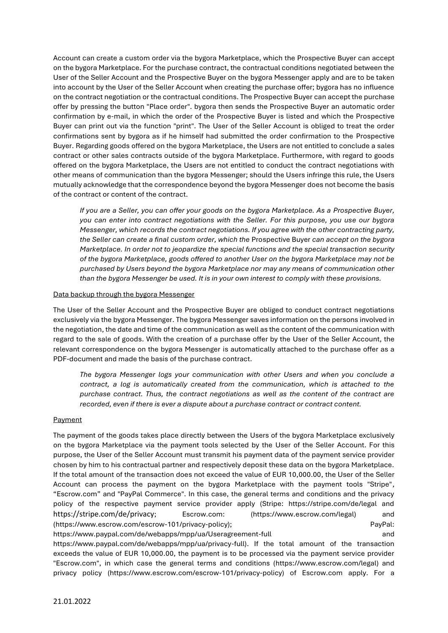Account can create a custom order via the bygora Marketplace, which the Prospective Buyer can accept on the bygora Marketplace. For the purchase contract, the contractual conditions negotiated between the User of the Seller Account and the Prospective Buyer on the bygora Messenger apply and are to be taken into account by the User of the Seller Account when creating the purchase offer; bygora has no influence on the contract negotiation or the contractual conditions. The Prospective Buyer can accept the purchase offer by pressing the button "Place order". bygora then sends the Prospective Buyer an automatic order confirmation by e-mail, in which the order of the Prospective Buyer is listed and which the Prospective Buyer can print out via the function "print". The User of the Seller Account is obliged to treat the order confirmations sent by bygora as if he himself had submitted the order confirmation to the Prospective Buyer. Regarding goods offered on the bygora Marketplace, the Users are not entitled to conclude a sales contract or other sales contracts outside of the bygora Marketplace. Furthermore, with regard to goods offered on the bygora Marketplace, the Users are not entitled to conduct the contract negotiations with other means of communication than the bygora Messenger; should the Users infringe this rule, the Users mutually acknowledge that the correspondence beyond the bygora Messenger does not become the basis of the contract or content of the contract.

*If you are a Seller, you can offer your goods on the bygora Marketplace. As a Prospective Buyer, you can enter into contract negotiations with the Seller. For this purpose, you use our bygora Messenger, which records the contract negotiations. If you agree with the other contracting party, the Seller can create a final custom order, which the* Prospective Buyer *can accept on the bygora Marketplace. In order not to jeopardize the special functions and the special transaction security of the bygora Marketplace, goods offered to another User on the bygora Marketplace may not be purchased by Users beyond the bygora Marketplace nor may any means of communication other than the bygora Messenger be used. It is in your own interest to comply with these provisions.*

# Data backup through the bygora Messenger

The User of the Seller Account and the Prospective Buyer are obliged to conduct contract negotiations exclusively via the bygora Messenger. The bygora Messenger saves information on the persons involved in the negotiation, the date and time of the communication as well as the content of the communication with regard to the sale of goods. With the creation of a purchase offer by the User of the Seller Account, the relevant correspondence on the bygora Messenger is automatically attached to the purchase offer as a PDF-document and made the basis of the purchase contract.

*The bygora Messenger logs your communication with other Users and when you conclude a contract, a log is automatically created from the communication, which is attached to the purchase contract. Thus, the contract negotiations as well as the content of the contract are recorded, even if there is ever a dispute about a purchase contract or contract content.*

# Payment

The payment of the goods takes place directly between the Users of the bygora Marketplace exclusively on the bygora Marketplace via the payment tools selected by the User of the Seller Account. For this purpose, the User of the Seller Account must transmit his payment data of the payment service provider chosen by him to his contractual partner and respectively deposit these data on the bygora Marketplace. If the total amount of the transaction does not exceed the value of EUR 10,000.00, the User of the Seller Account can process the payment on the bygora Marketplace with the payment tools "Stripe", "Escrow.com" and "PayPal Commerce". In this case, the general terms and conditions and the privacy policy of the respective payment service provider apply (Stripe: https://stripe.com/de/legal and https://stripe.com/de/privacy; Escrow.com: (https://www.escrow.com/legal) and (https://www.escrow.com/escrow-101/privacy-policy); PayPal: https://www.paypal.com/de/webapps/mpp/ua/Useragreement-full and and

https://www.paypal.com/de/webapps/mpp/ua/privacy-full). If the total amount of the transaction exceeds the value of EUR 10,000.00, the payment is to be processed via the payment service provider "Escrow.com", in which case the general terms and conditions (https://www.escrow.com/legal) and privacy policy (https://www.escrow.com/escrow-101/privacy-policy) of Escrow.com apply. For a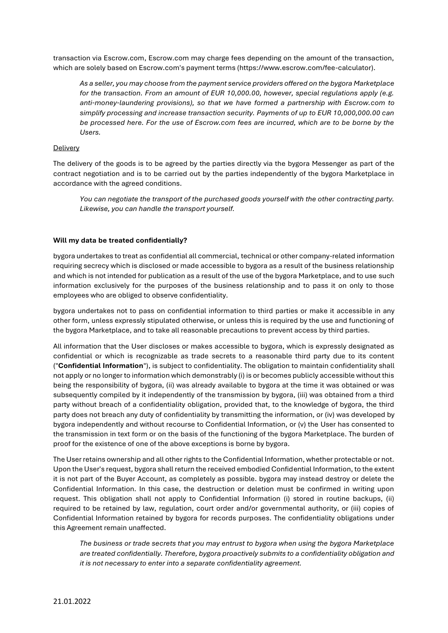transaction via Escrow.com, Escrow.com may charge fees depending on the amount of the transaction, which are solely based on Escrow.com's payment terms (https://www.escrow.com/fee-calculator).

*As a seller, you may choose from the payment service providers offered on the bygora Marketplace for the transaction. From an amount of EUR 10,000.00, however, special regulations apply (e.g. anti-money-laundering provisions), so that we have formed a partnership with Escrow.com to simplify processing and increase transaction security. Payments of up to EUR 10,000,000.00 can be processed here. For the use of Escrow.com fees are incurred, which are to be borne by the Users.*

# Delivery

The delivery of the goods is to be agreed by the parties directly via the bygora Messenger as part of the contract negotiation and is to be carried out by the parties independently of the bygora Marketplace in accordance with the agreed conditions.

*You can negotiate the transport of the purchased goods yourself with the other contracting party. Likewise, you can handle the transport yourself.*

#### **Will my data be treated confidentially?**

bygora undertakes to treat as confidential all commercial, technical or other company-related information requiring secrecy which is disclosed or made accessible to bygora as a result of the business relationship and which is not intended for publication as a result of the use of the bygora Marketplace, and to use such information exclusively for the purposes of the business relationship and to pass it on only to those employees who are obliged to observe confidentiality.

bygora undertakes not to pass on confidential information to third parties or make it accessible in any other form, unless expressly stipulated otherwise, or unless this is required by the use and functioning of the bygora Marketplace, and to take all reasonable precautions to prevent access by third parties.

All information that the User discloses or makes accessible to bygora, which is expressly designated as confidential or which is recognizable as trade secrets to a reasonable third party due to its content ("**Confidential Information**"), is subject to confidentiality. The obligation to maintain confidentiality shall not apply or no longer to information which demonstrably (i) is or becomes publicly accessible without this being the responsibility of bygora, (ii) was already available to bygora at the time it was obtained or was subsequently compiled by it independently of the transmission by bygora, (iii) was obtained from a third party without breach of a confidentiality obligation, provided that, to the knowledge of bygora, the third party does not breach any duty of confidentiality by transmitting the information, or (iv) was developed by bygora independently and without recourse to Confidential Information, or (v) the User has consented to the transmission in text form or on the basis of the functioning of the bygora Marketplace. The burden of proof for the existence of one of the above exceptions is borne by bygora.

The User retains ownership and all other rights to the Confidential Information, whether protectable or not. Upon the User's request, bygora shall return the received embodied Confidential Information, to the extent it is not part of the Buyer Account, as completely as possible. bygora may instead destroy or delete the Confidential Information. In this case, the destruction or deletion must be confirmed in writing upon request. This obligation shall not apply to Confidential Information (i) stored in routine backups, (ii) required to be retained by law, regulation, court order and/or governmental authority, or (iii) copies of Confidential Information retained by bygora for records purposes. The confidentiality obligations under this Agreement remain unaffected.

*The business or trade secrets that you may entrust to bygora when using the bygora Marketplace are treated confidentially. Therefore, bygora proactively submits to a confidentiality obligation and it is not necessary to enter into a separate confidentiality agreement.*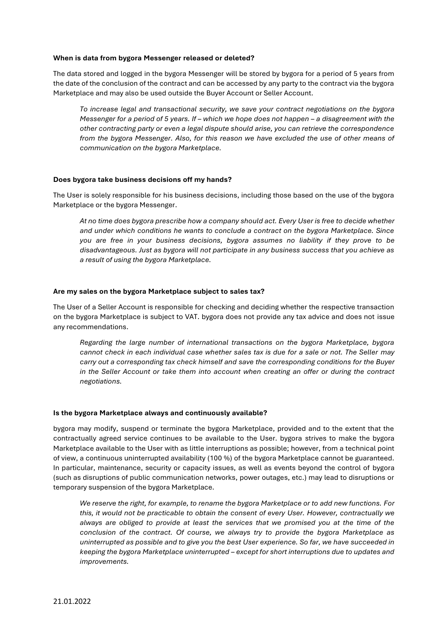#### **When is data from bygora Messenger released or deleted?**

The data stored and logged in the bygora Messenger will be stored by bygora for a period of 5 years from the date of the conclusion of the contract and can be accessed by any party to the contract via the bygora Marketplace and may also be used outside the Buyer Account or Seller Account.

*To increase legal and transactional security, we save your contract negotiations on the bygora Messenger for a period of 5 years. If – which we hope does not happen – a disagreement with the other contracting party or even a legal dispute should arise, you can retrieve the correspondence from the bygora Messenger. Also, for this reason we have excluded the use of other means of communication on the bygora Marketplace.*

#### **Does bygora take business decisions off my hands?**

The User is solely responsible for his business decisions, including those based on the use of the bygora Marketplace or the bygora Messenger.

*At no time does bygora prescribe how a company should act. Every User is free to decide whether and under which conditions he wants to conclude a contract on the bygora Marketplace. Since you are free in your business decisions, bygora assumes no liability if they prove to be disadvantageous. Just as bygora will not participate in any business success that you achieve as a result of using the bygora Marketplace.*

# **Are my sales on the bygora Marketplace subject to sales tax?**

The User of a Seller Account is responsible for checking and deciding whether the respective transaction on the bygora Marketplace is subject to VAT. bygora does not provide any tax advice and does not issue any recommendations.

*Regarding the large number of international transactions on the bygora Marketplace, bygora cannot check in each individual case whether sales tax is due for a sale or not. The Seller may carry out a corresponding tax check himself and save the corresponding conditions for the Buyer in the Seller Account or take them into account when creating an offer or during the contract negotiations.*

#### **Is the bygora Marketplace always and continuously available?**

bygora may modify, suspend or terminate the bygora Marketplace, provided and to the extent that the contractually agreed service continues to be available to the User. bygora strives to make the bygora Marketplace available to the User with as little interruptions as possible; however, from a technical point of view, a continuous uninterrupted availability (100 %) of the bygora Marketplace cannot be guaranteed. In particular, maintenance, security or capacity issues, as well as events beyond the control of bygora (such as disruptions of public communication networks, power outages, etc.) may lead to disruptions or temporary suspension of the bygora Marketplace.

*We reserve the right, for example, to rename the bygora Marketplace or to add new functions. For this, it would not be practicable to obtain the consent of every User. However, contractually we always are obliged to provide at least the services that we promised you at the time of the conclusion of the contract. Of course, we always try to provide the bygora Marketplace as uninterrupted as possible and to give you the best User experience. So far, we have succeeded in keeping the bygora Marketplace uninterrupted – except for short interruptions due to updates and improvements.*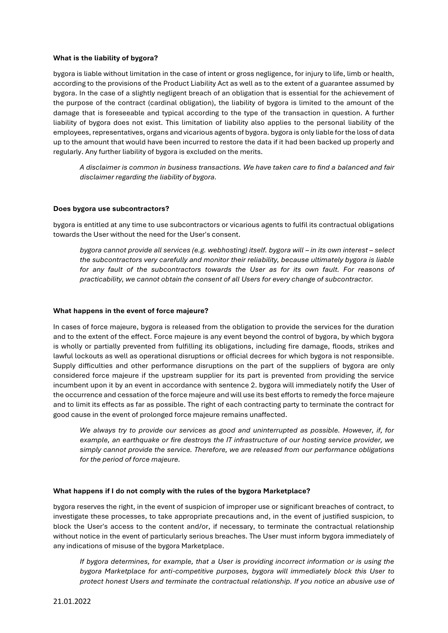#### **What is the liability of bygora?**

bygora is liable without limitation in the case of intent or gross negligence, for injury to life, limb or health, according to the provisions of the Product Liability Act as well as to the extent of a guarantee assumed by bygora. In the case of a slightly negligent breach of an obligation that is essential for the achievement of the purpose of the contract (cardinal obligation), the liability of bygora is limited to the amount of the damage that is foreseeable and typical according to the type of the transaction in question. A further liability of bygora does not exist. This limitation of liability also applies to the personal liability of the employees, representatives, organs and vicarious agents of bygora. bygora is only liable for the loss of data up to the amount that would have been incurred to restore the data if it had been backed up properly and regularly. Any further liability of bygora is excluded on the merits.

*A disclaimer is common in business transactions. We have taken care to find a balanced and fair disclaimer regarding the liability of bygora.*

#### **Does bygora use subcontractors?**

bygora is entitled at any time to use subcontractors or vicarious agents to fulfil its contractual obligations towards the User without the need for the User's consent.

*bygora cannot provide all services (e.g. webhosting) itself. bygora will – in its own interest – select the subcontractors very carefully and monitor their reliability, because ultimately bygora is liable for any fault of the subcontractors towards the User as for its own fault. For reasons of practicability, we cannot obtain the consent of all Users for every change of subcontractor.*

#### **What happens in the event of force majeure?**

In cases of force majeure, bygora is released from the obligation to provide the services for the duration and to the extent of the effect. Force majeure is any event beyond the control of bygora, by which bygora is wholly or partially prevented from fulfilling its obligations, including fire damage, floods, strikes and lawful lockouts as well as operational disruptions or official decrees for which bygora is not responsible. Supply difficulties and other performance disruptions on the part of the suppliers of bygora are only considered force majeure if the upstream supplier for its part is prevented from providing the service incumbent upon it by an event in accordance with sentence 2. bygora will immediately notify the User of the occurrence and cessation of the force majeure and will use its best efforts to remedy the force majeure and to limit its effects as far as possible. The right of each contracting party to terminate the contract for good cause in the event of prolonged force majeure remains unaffected.

*We always try to provide our services as good and uninterrupted as possible. However, if, for example, an earthquake or fire destroys the IT infrastructure of our hosting service provider, we simply cannot provide the service. Therefore, we are released from our performance obligations for the period of force majeure.*

# **What happens if I do not comply with the rules of the bygora Marketplace?**

bygora reserves the right, in the event of suspicion of improper use or significant breaches of contract, to investigate these processes, to take appropriate precautions and, in the event of justified suspicion, to block the User's access to the content and/or, if necessary, to terminate the contractual relationship without notice in the event of particularly serious breaches. The User must inform bygora immediately of any indications of misuse of the bygora Marketplace.

*If bygora determines, for example, that a User is providing incorrect information or is using the bygora Marketplace for anti-competitive purposes, bygora will immediately block this User to protect honest Users and terminate the contractual relationship. If you notice an abusive use of*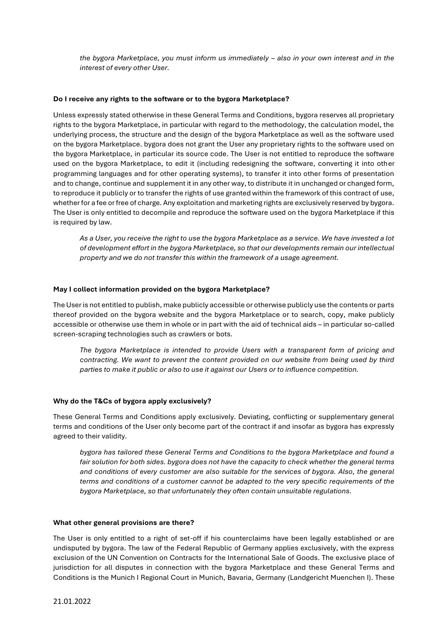*the bygora Marketplace, you must inform us immediately – also in your own interest and in the interest of every other User.*

# **Do I receive any rights to the software or to the bygora Marketplace?**

Unless expressly stated otherwise in these General Terms and Conditions, bygora reserves all proprietary rights to the bygora Marketplace, in particular with regard to the methodology, the calculation model, the underlying process, the structure and the design of the bygora Marketplace as well as the software used on the bygora Marketplace. bygora does not grant the User any proprietary rights to the software used on the bygora Marketplace, in particular its source code. The User is not entitled to reproduce the software used on the bygora Marketplace, to edit it (including redesigning the software, converting it into other programming languages and for other operating systems), to transfer it into other forms of presentation and to change, continue and supplement it in any other way, to distribute it in unchanged or changed form, to reproduce it publicly or to transfer the rights of use granted within the framework of this contract of use, whether for a fee or free of charge. Any exploitation and marketing rights are exclusively reserved by bygora. The User is only entitled to decompile and reproduce the software used on the bygora Marketplace if this is required by law.

*As a User, you receive the right to use the bygora Marketplace as a service. We have invested a lot of development effort in the bygora Marketplace, so that our developments remain our intellectual property and we do not transfer this within the framework of a usage agreement.*

# **May I collect information provided on the bygora Marketplace?**

The User is not entitled to publish, make publicly accessible or otherwise publicly use the contents or parts thereof provided on the bygora website and the bygora Marketplace or to search, copy, make publicly accessible or otherwise use them in whole or in part with the aid of technical aids – in particular so-called screen-scraping technologies such as crawlers or bots.

*The bygora Marketplace is intended to provide Users with a transparent form of pricing and contracting. We want to prevent the content provided on our website from being used by third parties to make it public or also to use it against our Users or to influence competition.*

# **Why do the T&Cs of bygora apply exclusively?**

These General Terms and Conditions apply exclusively. Deviating, conflicting or supplementary general terms and conditions of the User only become part of the contract if and insofar as bygora has expressly agreed to their validity.

*bygora has tailored these General Terms and Conditions to the bygora Marketplace and found a fair solution for both sides. bygora does not have the capacity to check whether the general terms and conditions of every customer are also suitable for the services of bygora. Also, the general terms and conditions of a customer cannot be adapted to the very specific requirements of the bygora Marketplace, so that unfortunately they often contain unsuitable regulations.*

# **What other general provisions are there?**

The User is only entitled to a right of set-off if his counterclaims have been legally established or are undisputed by bygora. The law of the Federal Republic of Germany applies exclusively, with the express exclusion of the UN Convention on Contracts for the International Sale of Goods. The exclusive place of jurisdiction for all disputes in connection with the bygora Marketplace and these General Terms and Conditions is the Munich I Regional Court in Munich, Bavaria, Germany (Landgericht Muenchen I). These